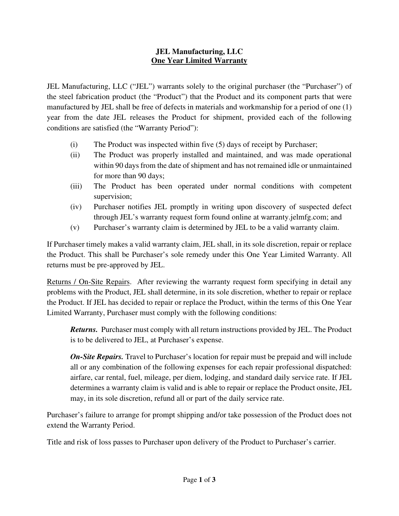## **JEL Manufacturing, LLC One Year Limited Warranty**

JEL Manufacturing, LLC ("JEL") warrants solely to the original purchaser (the "Purchaser") of the steel fabrication product (the "Product") that the Product and its component parts that were manufactured by JEL shall be free of defects in materials and workmanship for a period of one (1) year from the date JEL releases the Product for shipment, provided each of the following conditions are satisfied (the "Warranty Period"):

- (i) The Product was inspected within five (5) days of receipt by Purchaser;
- (ii) The Product was properly installed and maintained, and was made operational within 90 days from the date of shipment and has not remained idle or unmaintained for more than 90 days;
- (iii) The Product has been operated under normal conditions with competent supervision;
- (iv) Purchaser notifies JEL promptly in writing upon discovery of suspected defect through JEL's warranty request form found online at warranty.jelmfg.com; and
- (v) Purchaser's warranty claim is determined by JEL to be a valid warranty claim.

If Purchaser timely makes a valid warranty claim, JEL shall, in its sole discretion, repair or replace the Product. This shall be Purchaser's sole remedy under this One Year Limited Warranty. All returns must be pre-approved by JEL.

Returns / On-Site Repairs. After reviewing the warranty request form specifying in detail any problems with the Product, JEL shall determine, in its sole discretion, whether to repair or replace the Product. If JEL has decided to repair or replace the Product, within the terms of this One Year Limited Warranty, Purchaser must comply with the following conditions:

*Returns.* Purchaser must comply with all return instructions provided by JEL. The Product is to be delivered to JEL, at Purchaser's expense.

*On-Site Repairs.* Travel to Purchaser's location for repair must be prepaid and will include all or any combination of the following expenses for each repair professional dispatched: airfare, car rental, fuel, mileage, per diem, lodging, and standard daily service rate. If JEL determines a warranty claim is valid and is able to repair or replace the Product onsite, JEL may, in its sole discretion, refund all or part of the daily service rate.

Purchaser's failure to arrange for prompt shipping and/or take possession of the Product does not extend the Warranty Period.

Title and risk of loss passes to Purchaser upon delivery of the Product to Purchaser's carrier.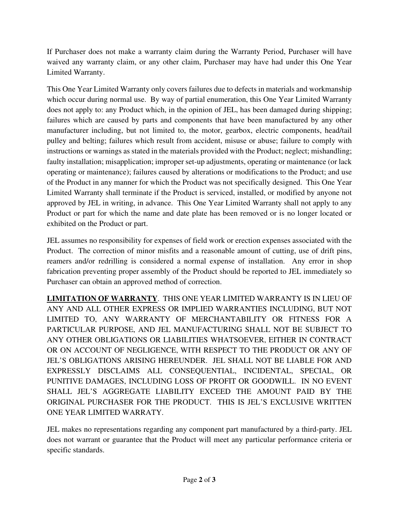If Purchaser does not make a warranty claim during the Warranty Period, Purchaser will have waived any warranty claim, or any other claim, Purchaser may have had under this One Year Limited Warranty.

This One Year Limited Warranty only covers failures due to defects in materials and workmanship which occur during normal use. By way of partial enumeration, this One Year Limited Warranty does not apply to: any Product which, in the opinion of JEL, has been damaged during shipping; failures which are caused by parts and components that have been manufactured by any other manufacturer including, but not limited to, the motor, gearbox, electric components, head/tail pulley and belting; failures which result from accident, misuse or abuse; failure to comply with instructions or warnings as stated in the materials provided with the Product; neglect; mishandling; faulty installation; misapplication; improper set-up adjustments, operating or maintenance (or lack operating or maintenance); failures caused by alterations or modifications to the Product; and use of the Product in any manner for which the Product was not specifically designed. This One Year Limited Warranty shall terminate if the Product is serviced, installed, or modified by anyone not approved by JEL in writing, in advance. This One Year Limited Warranty shall not apply to any Product or part for which the name and date plate has been removed or is no longer located or exhibited on the Product or part.

JEL assumes no responsibility for expenses of field work or erection expenses associated with the Product. The correction of minor misfits and a reasonable amount of cutting, use of drift pins, reamers and/or redrilling is considered a normal expense of installation. Any error in shop fabrication preventing proper assembly of the Product should be reported to JEL immediately so Purchaser can obtain an approved method of correction.

**LIMITATION OF WARRANTY**. THIS ONE YEAR LIMITED WARRANTY IS IN LIEU OF ANY AND ALL OTHER EXPRESS OR IMPLIED WARRANTIES INCLUDING, BUT NOT LIMITED TO, ANY WARRANTY OF MERCHANTABILITY OR FITNESS FOR A PARTICULAR PURPOSE, AND JEL MANUFACTURING SHALL NOT BE SUBJECT TO ANY OTHER OBLIGATIONS OR LIABILITIES WHATSOEVER, EITHER IN CONTRACT OR ON ACCOUNT OF NEGLIGENCE, WITH RESPECT TO THE PRODUCT OR ANY OF JEL'S OBLIGATIONS ARISING HEREUNDER. JEL SHALL NOT BE LIABLE FOR AND EXPRESSLY DISCLAIMS ALL CONSEQUENTIAL, INCIDENTAL, SPECIAL, OR PUNITIVE DAMAGES, INCLUDING LOSS OF PROFIT OR GOODWILL. IN NO EVENT SHALL JEL'S AGGREGATE LIABILITY EXCEED THE AMOUNT PAID BY THE ORIGINAL PURCHASER FOR THE PRODUCT. THIS IS JEL'S EXCLUSIVE WRITTEN ONE YEAR LIMITED WARRATY.

JEL makes no representations regarding any component part manufactured by a third-party. JEL does not warrant or guarantee that the Product will meet any particular performance criteria or specific standards.